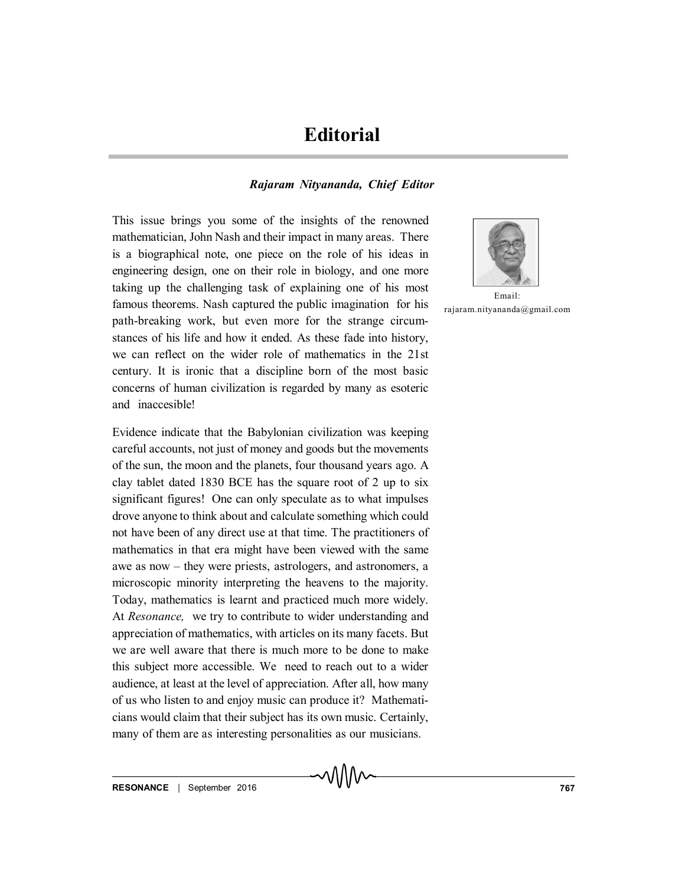## **Editorial**

## *Rajaram Nityananda, Chief Editor*

This issue brings you some of the insights of the renowned mathematician, John Nash and their impact in many areas. There is a biographical note, one piece on the role of his ideas in engineering design, one on their role in biology, and one more taking up the challenging task of explaining one of his most famous theorems. Nash captured the public imagination for his path-breaking work, but even more for the strange circumstances of his life and how it ended. As these fade into history, we can reflect on the wider role of mathematics in the 21st century. It is ironic that a discipline born of the most basic concerns of human civilization is regarded by many as esoteric and inaccesible!

Evidence indicate that the Babylonian civilization was keeping careful accounts, not just of money and goods but the movements of the sun, the moon and the planets, four thousand years ago. A clay tablet dated 1830 BCE has the square root of 2 up to six significant figures! One can only speculate as to what impulses drove anyone to think about and calculate something which could not have been of any direct use at that time. The practitioners of mathematics in that era might have been viewed with the same awe as now – they were priests, astrologers, and astronomers, a microscopic minority interpreting the heavens to the majority. Today, mathematics is learnt and practiced much more widely. At *Resonance,* we try to contribute to wider understanding and appreciation of mathematics, with articles on its many facets. But we are well aware that there is much more to be done to make this subject more accessible. We need to reach out to a wider audience, at least at the level of appreciation. After all, how many of us who listen to and enjoy music can produce it? Mathematicians would claim that their subject has its own music. Certainly, many of them are as interesting personalities as our musicians.



Email: rajaram.nityananda@gmail.com